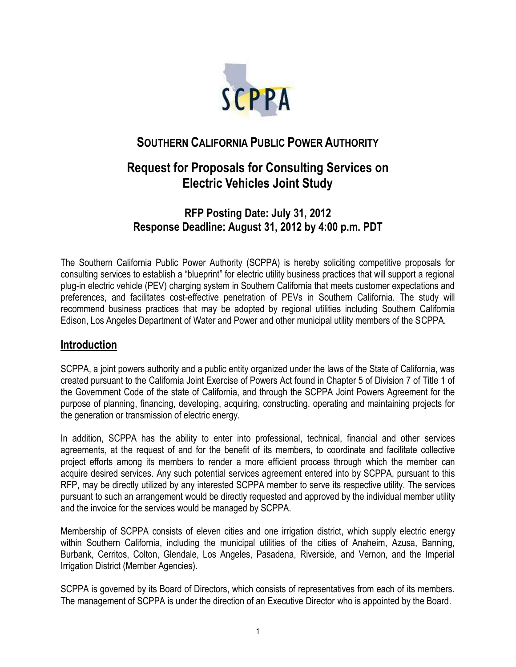

# **SOUTHERN CALIFORNIA PUBLIC POWER AUTHORITY**

# **Request for Proposals for Consulting Services on Electric Vehicles Joint Study**

# **RFP Posting Date: July 31, 2012 Response Deadline: August 31, 2012 by 4:00 p.m. PDT**

The Southern California Public Power Authority (SCPPA) is hereby soliciting competitive proposals for consulting services to establish a "blueprint" for electric utility business practices that will support a regional plug-in electric vehicle (PEV) charging system in Southern California that meets customer expectations and preferences, and facilitates cost-effective penetration of PEVs in Southern California. The study will recommend business practices that may be adopted by regional utilities including Southern California Edison, Los Angeles Department of Water and Power and other municipal utility members of the SCPPA.

#### **Introduction**

SCPPA, a joint powers authority and a public entity organized under the laws of the State of California, was created pursuant to the California Joint Exercise of Powers Act found in Chapter 5 of Division 7 of Title 1 of the Government Code of the state of California, and through the SCPPA Joint Powers Agreement for the purpose of planning, financing, developing, acquiring, constructing, operating and maintaining projects for the generation or transmission of electric energy.

In addition, SCPPA has the ability to enter into professional, technical, financial and other services agreements, at the request of and for the benefit of its members, to coordinate and facilitate collective project efforts among its members to render a more efficient process through which the member can acquire desired services. Any such potential services agreement entered into by SCPPA, pursuant to this RFP, may be directly utilized by any interested SCPPA member to serve its respective utility. The services pursuant to such an arrangement would be directly requested and approved by the individual member utility and the invoice for the services would be managed by SCPPA.

Membership of SCPPA consists of eleven cities and one irrigation district, which supply electric energy within Southern California, including the municipal utilities of the cities of Anaheim, Azusa, Banning, Burbank, Cerritos, Colton, Glendale, Los Angeles, Pasadena, Riverside, and Vernon, and the Imperial Irrigation District (Member Agencies).

SCPPA is governed by its Board of Directors, which consists of representatives from each of its members. The management of SCPPA is under the direction of an Executive Director who is appointed by the Board.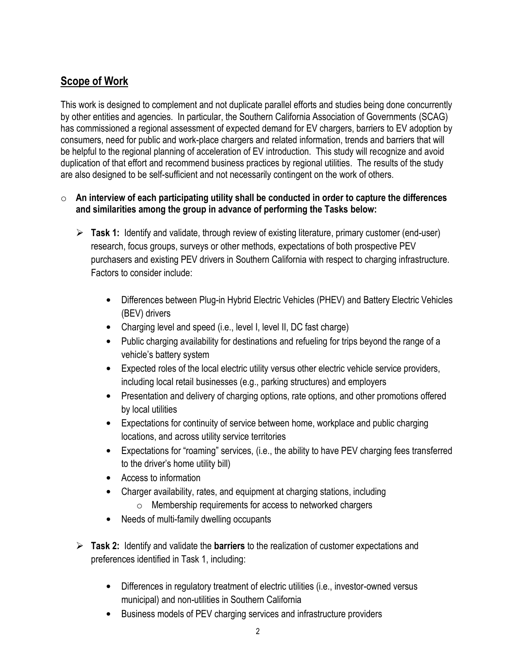## **Scope of Work**

This work is designed to complement and not duplicate parallel efforts and studies being done concurrently by other entities and agencies. In particular, the Southern California Association of Governments (SCAG) has commissioned a regional assessment of expected demand for EV chargers, barriers to EV adoption by consumers, need for public and work-place chargers and related information, trends and barriers that will be helpful to the regional planning of acceleration of EV introduction. This study will recognize and avoid duplication of that effort and recommend business practices by regional utilities. The results of the study are also designed to be self-sufficient and not necessarily contingent on the work of others.

#### o **An interview of each participating utility shall be conducted in order to capture the differences and similarities among the group in advance of performing the Tasks below:**

- **Task 1:** Identify and validate, through review of existing literature, primary customer (end-user) research, focus groups, surveys or other methods, expectations of both prospective PEV purchasers and existing PEV drivers in Southern California with respect to charging infrastructure. Factors to consider include:
	- Differences between Plug-in Hybrid Electric Vehicles (PHEV) and Battery Electric Vehicles (BEV) drivers
	- Charging level and speed (i.e., level I, level II, DC fast charge)
	- Public charging availability for destinations and refueling for trips beyond the range of a vehicle's battery system
	- Expected roles of the local electric utility versus other electric vehicle service providers, including local retail businesses (e.g., parking structures) and employers
	- Presentation and delivery of charging options, rate options, and other promotions offered by local utilities
	- Expectations for continuity of service between home, workplace and public charging locations, and across utility service territories
	- Expectations for "roaming" services, (i.e., the ability to have PEV charging fees transferred to the driver's home utility bill)
	- Access to information
	- Charger availability, rates, and equipment at charging stations, including
		- o Membership requirements for access to networked chargers
	- Needs of multi-family dwelling occupants
- **Task 2:** Identify and validate the **barriers** to the realization of customer expectations and preferences identified in Task 1, including:
	- Differences in regulatory treatment of electric utilities (i.e., investor-owned versus municipal) and non-utilities in Southern California
	- Business models of PEV charging services and infrastructure providers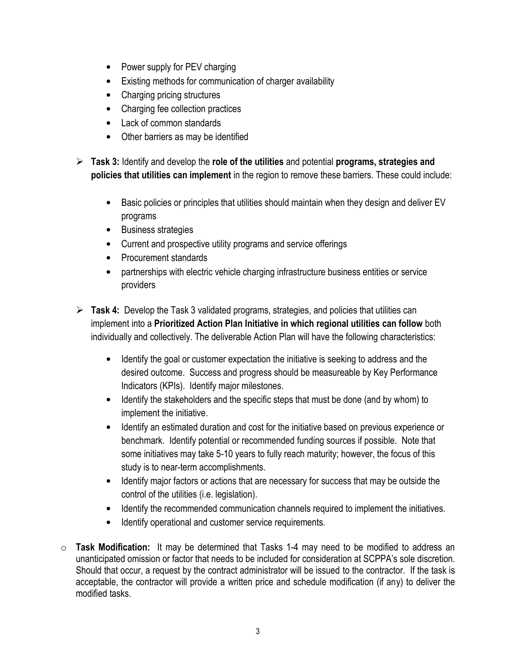- Power supply for PEV charging
- Existing methods for communication of charger availability
- Charging pricing structures
- Charging fee collection practices
- Lack of common standards
- Other barriers as may be identified
- **Task 3:** Identify and develop the **role of the utilities** and potential **programs, strategies and policies that utilities can implement** in the region to remove these barriers. These could include:
	- Basic policies or principles that utilities should maintain when they design and deliver EV programs
	- Business strategies
	- Current and prospective utility programs and service offerings
	- Procurement standards
	- partnerships with electric vehicle charging infrastructure business entities or service providers
- **Task 4:** Develop the Task 3 validated programs, strategies, and policies that utilities can implement into a **Prioritized Action Plan Initiative in which regional utilities can follow** both individually and collectively. The deliverable Action Plan will have the following characteristics:
	- Identify the goal or customer expectation the initiative is seeking to address and the desired outcome. Success and progress should be measureable by Key Performance Indicators (KPIs). Identify major milestones.
	- Identify the stakeholders and the specific steps that must be done (and by whom) to implement the initiative.
	- Identify an estimated duration and cost for the initiative based on previous experience or benchmark. Identify potential or recommended funding sources if possible. Note that some initiatives may take 5-10 years to fully reach maturity; however, the focus of this study is to near-term accomplishments.
	- Identify major factors or actions that are necessary for success that may be outside the control of the utilities (i.e. legislation).
	- Identify the recommended communication channels required to implement the initiatives.
	- Identify operational and customer service requirements.
- o **Task Modification:** It may be determined that Tasks 1-4 may need to be modified to address an unanticipated omission or factor that needs to be included for consideration at SCPPA's sole discretion. Should that occur, a request by the contract administrator will be issued to the contractor. If the task is acceptable, the contractor will provide a written price and schedule modification (if any) to deliver the modified tasks.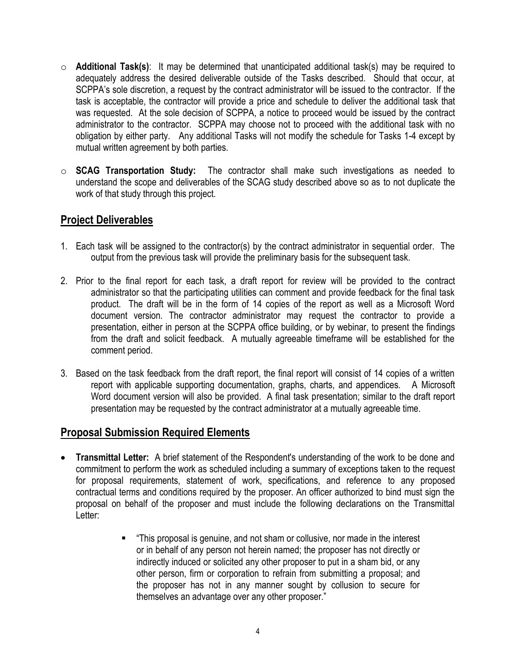- o **Additional Task(s)**: It may be determined that unanticipated additional task(s) may be required to adequately address the desired deliverable outside of the Tasks described. Should that occur, at SCPPA's sole discretion, a request by the contract administrator will be issued to the contractor. If the task is acceptable, the contractor will provide a price and schedule to deliver the additional task that was requested. At the sole decision of SCPPA, a notice to proceed would be issued by the contract administrator to the contractor. SCPPA may choose not to proceed with the additional task with no obligation by either party. Any additional Tasks will not modify the schedule for Tasks 1-4 except by mutual written agreement by both parties.
- o **SCAG Transportation Study:** The contractor shall make such investigations as needed to understand the scope and deliverables of the SCAG study described above so as to not duplicate the work of that study through this project.

#### **Project Deliverables**

- 1. Each task will be assigned to the contractor(s) by the contract administrator in sequential order. The output from the previous task will provide the preliminary basis for the subsequent task.
- 2. Prior to the final report for each task, a draft report for review will be provided to the contract administrator so that the participating utilities can comment and provide feedback for the final task product. The draft will be in the form of 14 copies of the report as well as a Microsoft Word document version. The contractor administrator may request the contractor to provide a presentation, either in person at the SCPPA office building, or by webinar, to present the findings from the draft and solicit feedback. A mutually agreeable timeframe will be established for the comment period.
- 3. Based on the task feedback from the draft report, the final report will consist of 14 copies of a written report with applicable supporting documentation, graphs, charts, and appendices. A Microsoft Word document version will also be provided. A final task presentation; similar to the draft report presentation may be requested by the contract administrator at a mutually agreeable time.

#### **Proposal Submission Required Elements**

- **Transmittal Letter:** A brief statement of the Respondent's understanding of the work to be done and commitment to perform the work as scheduled including a summary of exceptions taken to the request for proposal requirements, statement of work, specifications, and reference to any proposed contractual terms and conditions required by the proposer. An officer authorized to bind must sign the proposal on behalf of the proposer and must include the following declarations on the Transmittal Letter:
	- "This proposal is genuine, and not sham or collusive, nor made in the interest or in behalf of any person not herein named; the proposer has not directly or indirectly induced or solicited any other proposer to put in a sham bid, or any other person, firm or corporation to refrain from submitting a proposal; and the proposer has not in any manner sought by collusion to secure for themselves an advantage over any other proposer."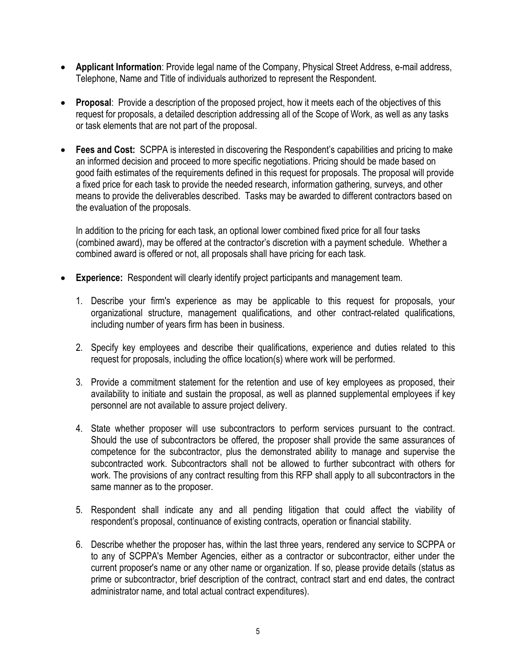- **Applicant Information**: Provide legal name of the Company, Physical Street Address, e-mail address, Telephone, Name and Title of individuals authorized to represent the Respondent.
- **Proposal**: Provide a description of the proposed project, how it meets each of the objectives of this request for proposals, a detailed description addressing all of the Scope of Work, as well as any tasks or task elements that are not part of the proposal.
- **Fees and Cost:** SCPPA is interested in discovering the Respondent's capabilities and pricing to make an informed decision and proceed to more specific negotiations. Pricing should be made based on good faith estimates of the requirements defined in this request for proposals. The proposal will provide a fixed price for each task to provide the needed research, information gathering, surveys, and other means to provide the deliverables described. Tasks may be awarded to different contractors based on the evaluation of the proposals.

In addition to the pricing for each task, an optional lower combined fixed price for all four tasks (combined award), may be offered at the contractor's discretion with a payment schedule. Whether a combined award is offered or not, all proposals shall have pricing for each task.

- **Experience:** Respondent will clearly identify project participants and management team.
	- 1. Describe your firm's experience as may be applicable to this request for proposals, your organizational structure, management qualifications, and other contract-related qualifications, including number of years firm has been in business.
	- 2. Specify key employees and describe their qualifications, experience and duties related to this request for proposals, including the office location(s) where work will be performed.
	- 3. Provide a commitment statement for the retention and use of key employees as proposed, their availability to initiate and sustain the proposal, as well as planned supplemental employees if key personnel are not available to assure project delivery.
	- 4. State whether proposer will use subcontractors to perform services pursuant to the contract. Should the use of subcontractors be offered, the proposer shall provide the same assurances of competence for the subcontractor, plus the demonstrated ability to manage and supervise the subcontracted work. Subcontractors shall not be allowed to further subcontract with others for work. The provisions of any contract resulting from this RFP shall apply to all subcontractors in the same manner as to the proposer.
	- 5. Respondent shall indicate any and all pending litigation that could affect the viability of respondent's proposal, continuance of existing contracts, operation or financial stability.
	- 6. Describe whether the proposer has, within the last three years, rendered any service to SCPPA or to any of SCPPA's Member Agencies, either as a contractor or subcontractor, either under the current proposer's name or any other name or organization. If so, please provide details (status as prime or subcontractor, brief description of the contract, contract start and end dates, the contract administrator name, and total actual contract expenditures).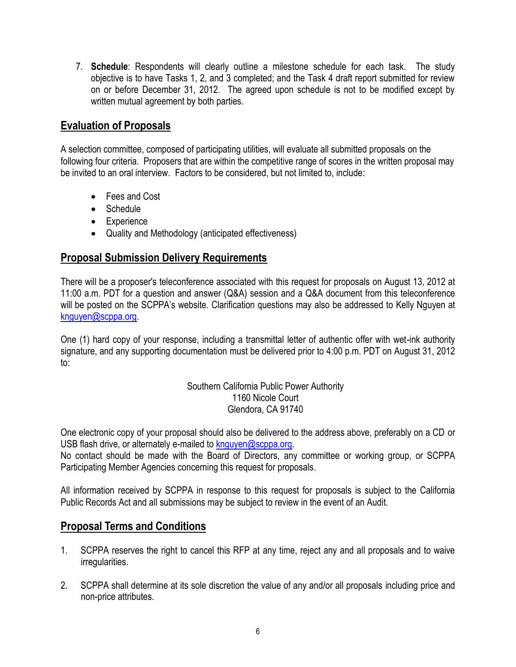7. **Schedule**: Respondents will clearly outline a milestone schedule for each task. The study objective is to have Tasks 1, 2, and 3 completed; and the Task 4 draft report submitted for review on or before December 31, 2012. The agreed upon schedule is not to be modified except by written mutual agreement by both parties.

#### **Evaluation of Proposals**

A selection committee, composed of participating utilities, will evaluate all submitted proposals on the following four criteria. Proposers that are within the competitive range of scores in the written proposal may be invited to an oral interview. Factors to be considered, but not limited to, include:

- Fees and Cost
- Schedule
- Experience
- Quality and Methodology (anticipated effectiveness)

### **Proposal Submission Delivery Requirements**

There will be a proposer's teleconference associated with this request for proposals on August 13, 2012 at 11:00 a.m. PDT for a question and answer (Q&A) session and a Q&A document from this teleconference will be posted on the SCPPA's website. Clarification questions may also be addressed to Kelly Nguyen at [knguyen@scppa.org.](mailto:knguyen@scppa.org)

One (1) hard copy of your response, including a transmittal letter of authentic offer with wet-ink authority signature, and any supporting documentation must be delivered prior to 4:00 p.m. PDT on August 31, 2012 to:

> Southern California Public Power Authority 1160 Nicole Court Glendora, CA 91740

One electronic copy of your proposal should also be delivered to the address above, preferably on a CD or USB flash drive, or alternately e-mailed to [knguyen@scppa.org.](mailto:knguyen@scppa.org)

No contact should be made with the Board of Directors, any committee or working group, or SCPPA Participating Member Agencies concerning this request for proposals.

All information received by SCPPA in response to this request for proposals is subject to the California Public Records Act and all submissions may be subject to review in the event of an Audit.

## **Proposal Terms and Conditions**

- 1. SCPPA reserves the right to cancel this RFP at any time, reject any and all proposals and to waive irregularities.
- 2. SCPPA shall determine at its sole discretion the value of any and/or all proposals including price and non-price attributes.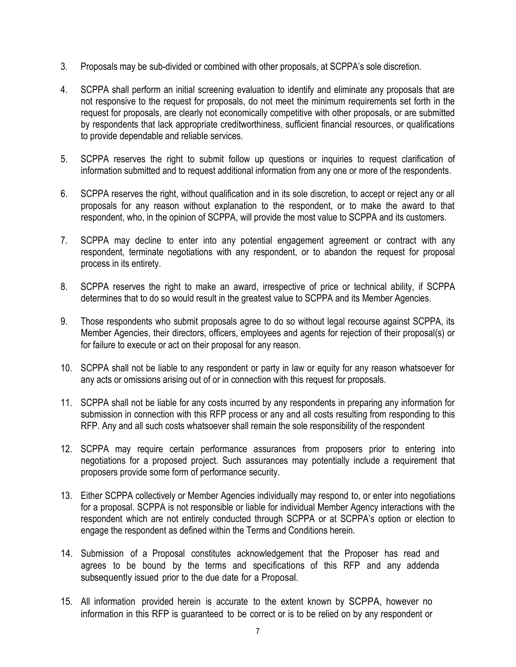- 3. Proposals may be sub-divided or combined with other proposals, at SCPPA's sole discretion.
- 4. SCPPA shall perform an initial screening evaluation to identify and eliminate any proposals that are not responsive to the request for proposals, do not meet the minimum requirements set forth in the request for proposals, are clearly not economically competitive with other proposals, or are submitted by respondents that lack appropriate creditworthiness, sufficient financial resources, or qualifications to provide dependable and reliable services.
- 5. SCPPA reserves the right to submit follow up questions or inquiries to request clarification of information submitted and to request additional information from any one or more of the respondents.
- 6. SCPPA reserves the right, without qualification and in its sole discretion, to accept or reject any or all proposals for any reason without explanation to the respondent, or to make the award to that respondent, who, in the opinion of SCPPA, will provide the most value to SCPPA and its customers.
- 7. SCPPA may decline to enter into any potential engagement agreement or contract with any respondent, terminate negotiations with any respondent, or to abandon the request for proposal process in its entirety.
- 8. SCPPA reserves the right to make an award, irrespective of price or technical ability, if SCPPA determines that to do so would result in the greatest value to SCPPA and its Member Agencies.
- 9. Those respondents who submit proposals agree to do so without legal recourse against SCPPA, its Member Agencies, their directors, officers, employees and agents for rejection of their proposal(s) or for failure to execute or act on their proposal for any reason.
- 10. SCPPA shall not be liable to any respondent or party in law or equity for any reason whatsoever for any acts or omissions arising out of or in connection with this request for proposals.
- 11. SCPPA shall not be liable for any costs incurred by any respondents in preparing any information for submission in connection with this RFP process or any and all costs resulting from responding to this RFP. Any and all such costs whatsoever shall remain the sole responsibility of the respondent
- 12. SCPPA may require certain performance assurances from proposers prior to entering into negotiations for a proposed project. Such assurances may potentially include a requirement that proposers provide some form of performance security.
- 13. Either SCPPA collectively or Member Agencies individually may respond to, or enter into negotiations for a proposal. SCPPA is not responsible or liable for individual Member Agency interactions with the respondent which are not entirely conducted through SCPPA or at SCPPA's option or election to engage the respondent as defined within the Terms and Conditions herein.
- 14. Submission of a Proposal constitutes acknowledgement that the Proposer has read and agrees to be bound by the terms and specifications of this RFP and any addenda subsequently issued prior to the due date for a Proposal.
- 15. All information provided herein is accurate to the extent known by SCPPA, however no information in this RFP is guaranteed to be correct or is to be relied on by any respondent or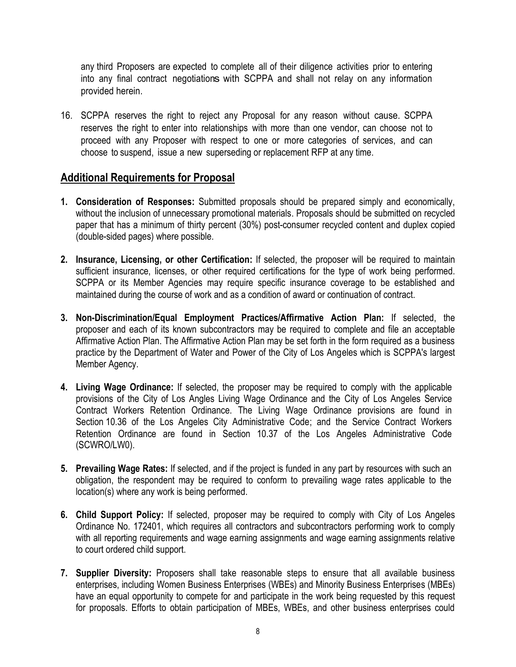any third Proposers are expected to complete all of their diligence activities prior to entering into any final contract negotiations with SCPPA and shall not relay on any information provided herein.

16. SCPPA reserves the right to reject any Proposal for any reason without cause. SCPPA reserves the right to enter into relationships with more than one vendor, can choose not to proceed with any Proposer with respect to one or more categories of services, and can choose to suspend, issue a new superseding or replacement RFP at any time.

#### **Additional Requirements for Proposal**

- **1. Consideration of Responses:** Submitted proposals should be prepared simply and economically, without the inclusion of unnecessary promotional materials. Proposals should be submitted on recycled paper that has a minimum of thirty percent (30%) post-consumer recycled content and duplex copied (double-sided pages) where possible.
- **2. Insurance, Licensing, or other Certification:** If selected, the proposer will be required to maintain sufficient insurance, licenses, or other required certifications for the type of work being performed. SCPPA or its Member Agencies may require specific insurance coverage to be established and maintained during the course of work and as a condition of award or continuation of contract.
- **3. Non-Discrimination/Equal Employment Practices/Affirmative Action Plan:** If selected, the proposer and each of its known subcontractors may be required to complete and file an acceptable Affirmative Action Plan. The Affirmative Action Plan may be set forth in the form required as a business practice by the Department of Water and Power of the City of Los Angeles which is SCPPA's largest Member Agency.
- **4. Living Wage Ordinance:** If selected, the proposer may be required to comply with the applicable provisions of the City of Los Angles Living Wage Ordinance and the City of Los Angeles Service Contract Workers Retention Ordinance. The Living Wage Ordinance provisions are found in Section 10.36 of the Los Angeles City Administrative Code; and the Service Contract Workers Retention Ordinance are found in Section 10.37 of the Los Angeles Administrative Code (SCWRO/LW0).
- **5. Prevailing Wage Rates:** If selected, and if the project is funded in any part by resources with such an obligation, the respondent may be required to conform to prevailing wage rates applicable to the location(s) where any work is being performed.
- **6. Child Support Policy:** If selected, proposer may be required to comply with City of Los Angeles Ordinance No. 172401, which requires all contractors and subcontractors performing work to comply with all reporting requirements and wage earning assignments and wage earning assignments relative to court ordered child support.
- **7. Supplier Diversity:** Proposers shall take reasonable steps to ensure that all available business enterprises, including Women Business Enterprises (WBEs) and Minority Business Enterprises (MBEs) have an equal opportunity to compete for and participate in the work being requested by this request for proposals. Efforts to obtain participation of MBEs, WBEs, and other business enterprises could